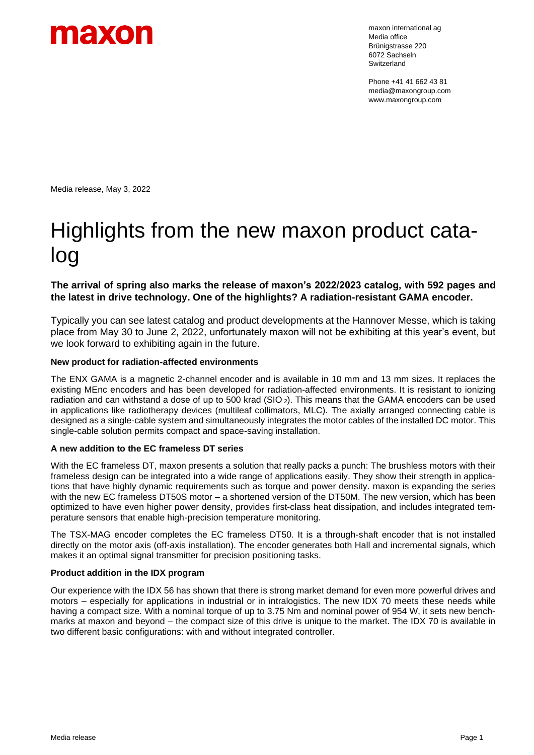

maxon international ag Media office Brünigstrasse 220 6072 Sachseln Switzerland

Phone +41 41 662 43 81 media@maxongroup.com www.maxongroup.com

Media release, May 3, 2022

# Highlights from the new maxon product catalog

**The arrival of spring also marks the release of maxon's 2022/2023 catalog, with 592 pages and the latest in drive technology. One of the highlights? A radiation-resistant GAMA encoder.**

Typically you can see latest catalog and product developments at the Hannover Messe, which is taking place from May 30 to June 2, 2022, unfortunately maxon will not be exhibiting at this year's event, but we look forward to exhibiting again in the future.

# **New product for radiation-affected environments**

The ENX GAMA is a magnetic 2-channel encoder and is available in 10 mm and 13 mm sizes. It replaces the existing MEnc encoders and has been developed for radiation-affected environments. It is resistant to ionizing radiation and can withstand a dose of up to 500 krad (SIO <sup>2</sup>). This means that the GAMA encoders can be used in applications like radiotherapy devices (multileaf collimators, MLC). The axially arranged connecting cable is designed as a single-cable system and simultaneously integrates the motor cables of the installed DC motor. This single-cable solution permits compact and space-saving installation.

# **A new addition to the EC frameless DT series**

With the EC frameless DT, maxon presents a solution that really packs a punch: The brushless motors with their frameless design can be integrated into a wide range of applications easily. They show their strength in applications that have highly dynamic requirements such as torque and power density. maxon is expanding the series with the new EC frameless DT50S motor – a shortened version of the DT50M. The new version, which has been optimized to have even higher power density, provides first-class heat dissipation, and includes integrated temperature sensors that enable high-precision temperature monitoring.

The TSX-MAG encoder completes the EC frameless DT50. It is a through-shaft encoder that is not installed directly on the motor axis (off-axis installation). The encoder generates both Hall and incremental signals, which makes it an optimal signal transmitter for precision positioning tasks.

# **Product addition in the IDX program**

Our experience with the IDX 56 has shown that there is strong market demand for even more powerful drives and motors – especially for applications in industrial or in intralogistics. The new IDX 70 meets these needs while having a compact size. With a nominal torque of up to 3.75 Nm and nominal power of 954 W, it sets new benchmarks at maxon and beyond – the compact size of this drive is unique to the market. The IDX 70 is available in two different basic configurations: with and without integrated controller.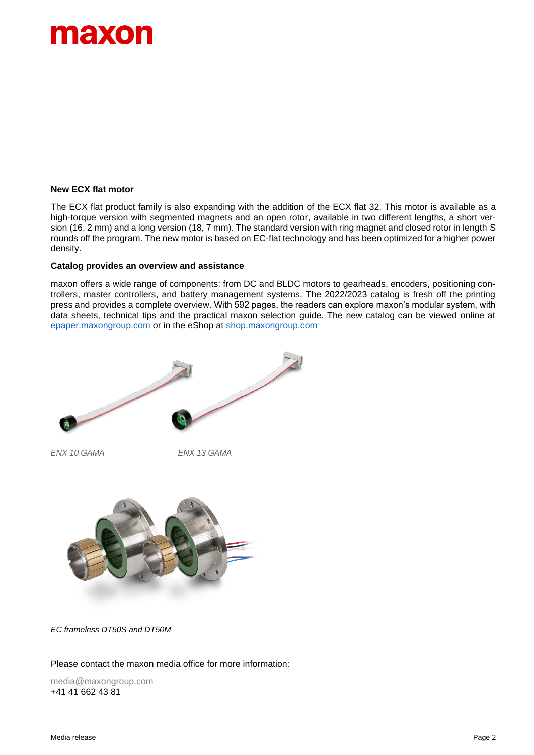

### **New ECX flat motor**

The ECX flat product family is also expanding with the addition of the ECX flat 32. This motor is available as a high-torque version with segmented magnets and an open rotor, available in two different lengths, a short version (16, 2 mm) and a long version (18, 7 mm). The standard version with ring magnet and closed rotor in length S rounds off the program. The new motor is based on EC-flat technology and has been optimized for a higher power density.

#### **Catalog provides an overview and assistance**

maxon offers a wide range of components: from DC and BLDC motors to gearheads, encoders, positioning controllers, master controllers, and battery management systems. The 2022/2023 catalog is fresh off the printing press and provides a complete overview. With 592 pages, the readers can explore maxon's modular system, with data sheets, technical tips and the practical maxon selection guide. The new catalog can be viewed online at [epaper.maxongroup.com](https://online.flippingbook.com/view/1042987/) or in the eShop at [shop.maxongroup.com](https://www.maxongroup.com/maxon/view/catalog/)



*EC frameless DT50S and DT50M*

Please contact the maxon media office for more information:

[media@maxongroup.com](mailto:media@maxongroup.com) +41 41 662 43 81